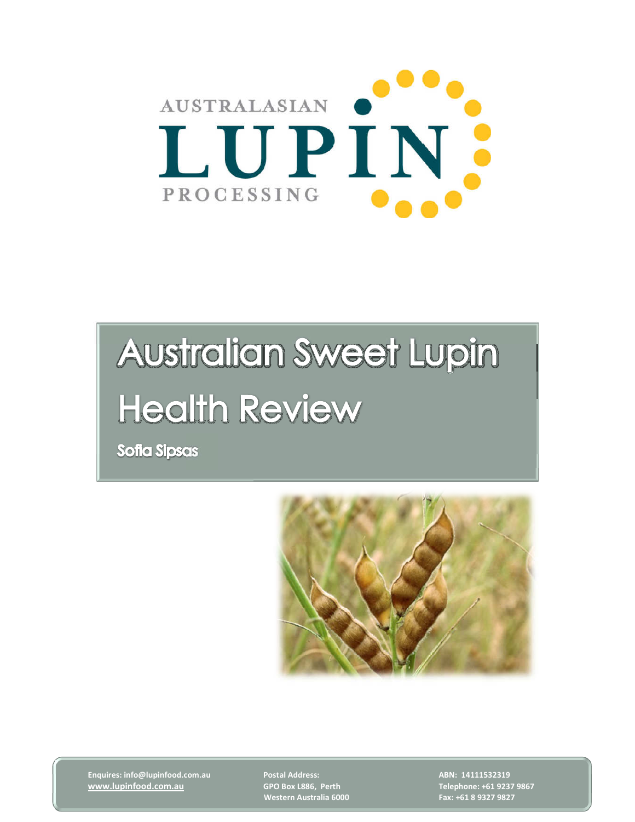

# **Australian Sweet Lupin Health Review**

**Sofia Sipsas** 



Enquires: info@lupinfood.com.au Postal Address: ABN: 14111532319 ABN: 14111532319 www.lupinfood.com.au GPO Box L886, Perth Telephone: +61 9237 9867

Western Australia 6000 Fax: +61 8 9327 9827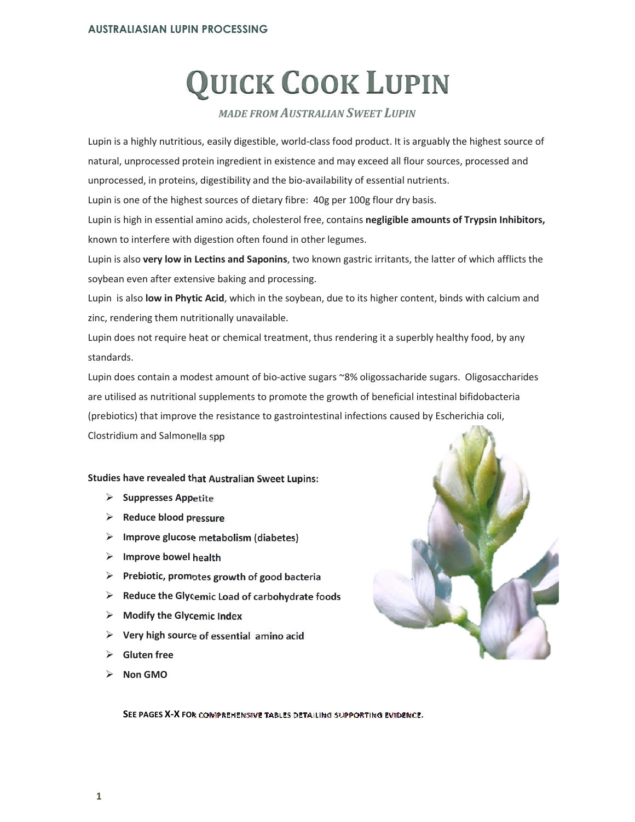## QUICK COOK LUPIN

#### MADE FROM AUSTRALIAN SWEET LUPIN

Lupin is a highly nutritious, easily digestible, world-class food product. It is arguably the highest source of natural, unprocessed protein ingredient in existence and may exceed all flour sources, processed and unprocessed, in proteins, digestibility and the bio-availability of essential nutrients.

Lupin is one of the highest sources of dietary fibre: 40g per 100g flour dry basis.

Lupin is high in essential amino acids, cholesterol free, contains negligible amounts of Trypsin Inhibitors, known to interfere with digestion often found in other legumes.

Lupin is also very low in Lectins and Saponins, two known gastric irritants, the latter of which afflicts the soybean even after extensive baking and processing.

Lupin is also low in Phytic Acid, which in the soybean, due to its higher content, binds with calcium and zinc, rendering them nutritionally unavailable.

Lupin does not require heat or chemical treatment, thus rendering it a superbly healthy food, by any standards.

Lupin does contain a modest amount of bio-active sugars ~8% oligossacharide sugars. Oligosaccharides are utilised as nutritional supplements to promote the growth of beneficial intestinal bifidobacteria (prebiotics) that improve the resistance to gastrointestinal infections caused by Escherichia coli, Clostridium and Salmonella spp

#### Studies have revealed that Australian Sweet Lupins:

- $\triangleright$  Suppresses Appetite
- $\triangleright$  Reduce blood pressure
- $\triangleright$  Improve glucose metabolism (diabetes)
- $\triangleright$  Improve bowel health
- $\triangleright$  Prebiotic, promotes growth of good bacteria
- $\triangleright$  Reduce the Glycemic Load of carbohydrate foods
- $\triangleright$  Modify the Glycemic Index
- Very high source of essential amino acid
- Gluten free
- Non GMO

SEE PAGES X-X FOR COMPREHENSIVE TABLES DETAILING SUPPORTING EVIDENCE.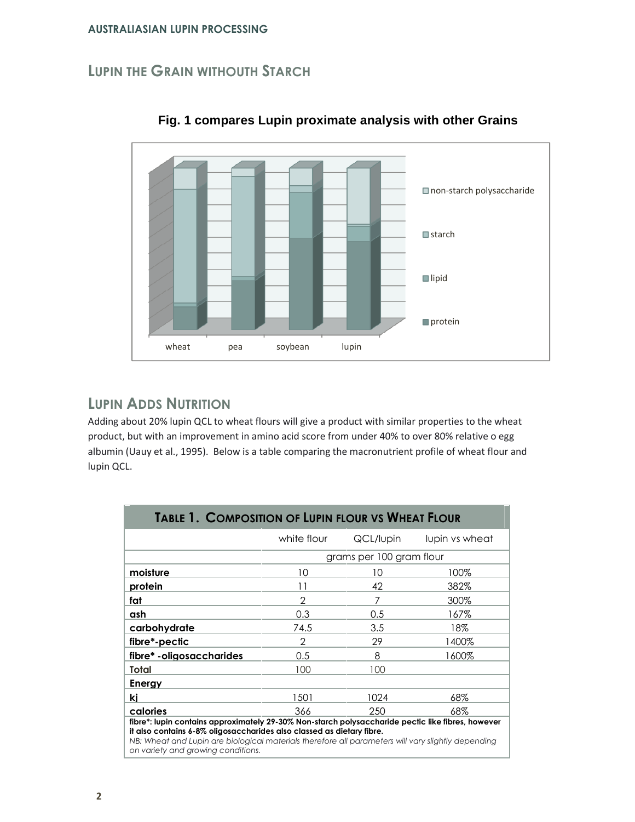## LUPIN THE GRAIN WITHOUTH STARCH



**Fig. 1 compares Lupin proximate analysis with other Grains** 

## LUPIN ADDS NUTRITION

Adding about 20% lupin QCL to wheat flours will give a product with similar properties to the wheat product, but with an improvement in amino acid score from under 40% to over 80% relative o egg albumin (Uauy et al., 1995). Below is a table comparing the macronutrient profile of wheat flour and lupin QCL.

| <b>TABLE 1. COMPOSITION OF LUPIN FLOUR VS WHEAT FLOUR</b>                                                                                                                                                                                                                                                              |             |                          |                |  |  |  |
|------------------------------------------------------------------------------------------------------------------------------------------------------------------------------------------------------------------------------------------------------------------------------------------------------------------------|-------------|--------------------------|----------------|--|--|--|
|                                                                                                                                                                                                                                                                                                                        | white flour | QCL/lupin                | lupin vs wheat |  |  |  |
|                                                                                                                                                                                                                                                                                                                        |             | grams per 100 gram flour |                |  |  |  |
| moisture                                                                                                                                                                                                                                                                                                               | 10          | 10                       | 100%           |  |  |  |
| protein                                                                                                                                                                                                                                                                                                                | 11          | 42                       | 382%           |  |  |  |
| fat                                                                                                                                                                                                                                                                                                                    | 2           | 7                        | 300%           |  |  |  |
| ash                                                                                                                                                                                                                                                                                                                    | 0.3         | 0.5                      | 167%           |  |  |  |
| carbohydrate                                                                                                                                                                                                                                                                                                           | 74.5        | 3.5                      | 18%            |  |  |  |
| fibre*-pectic                                                                                                                                                                                                                                                                                                          | 2           | 29                       | 1400%          |  |  |  |
| fibre* - oligosaccharides                                                                                                                                                                                                                                                                                              | 0.5         | 8                        | 1600%          |  |  |  |
| Total                                                                                                                                                                                                                                                                                                                  | 100         | 100                      |                |  |  |  |
| Energy                                                                                                                                                                                                                                                                                                                 |             |                          |                |  |  |  |
| ki                                                                                                                                                                                                                                                                                                                     | 1501        | 1024                     | 68%            |  |  |  |
| calories                                                                                                                                                                                                                                                                                                               | 366         | 250                      | 68%            |  |  |  |
| fibre*: lupin contains approximately 29-30% Non-starch polysaccharide pectic like fibres, however<br>it also contains 6-8% oligosaccharides also classed as dietary fibre.<br>NB: Wheat and Lupin are biological materials therefore all parameters will vary slightly depending<br>on variety and growing conditions. |             |                          |                |  |  |  |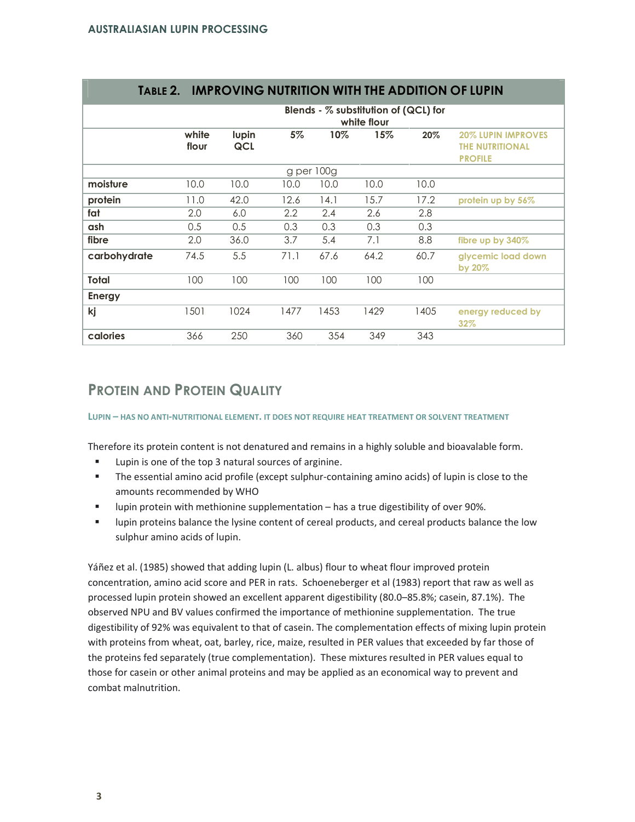|               | Blends - $%$ substitution of (QCL) for<br>white flour |              |      |            |      |      |                                                                              |
|---------------|-------------------------------------------------------|--------------|------|------------|------|------|------------------------------------------------------------------------------|
|               | white<br>flour                                        | lupin<br>QCL | 5%   | 10%        | 15%  | 20%  | <b>20% LUPIN IMPROVES</b><br><b><i>THE NUTRITIONAL</i></b><br><b>PROFILE</b> |
|               |                                                       |              |      | g per 100g |      |      |                                                                              |
| moisture      | 10.0                                                  | 10.0         | 10.0 | 10.0       | 10.0 | 10.0 |                                                                              |
| protein       | 11.0                                                  | 42.0         | 12.6 | 14.1       | 15.7 | 17.2 | protein up by 56%                                                            |
| fat           | 2.0                                                   | 6.0          | 2.2  | 2.4        | 2.6  | 2.8  |                                                                              |
| ash           | 0.5                                                   | 0.5          | 0.3  | 0.3        | 0.3  | 0.3  |                                                                              |
| fibre         | 2.0                                                   | 36.0         | 3.7  | 5.4        | 7.1  | 8.8  | fibre up by 340%                                                             |
| carbohydrate  | 74.5                                                  | 5.5          | 71.1 | 67.6       | 64.2 | 60.7 | glycemic load down<br>by 20%                                                 |
| Total         | 100                                                   | 100          | 100  | 100        | 100  | 100  |                                                                              |
| <b>Energy</b> |                                                       |              |      |            |      |      |                                                                              |
| kj            | 1501                                                  | 1024         | 1477 | 1453       | 1429 | 1405 | energy reduced by<br>32%                                                     |
| calories      | 366                                                   | 250          | 360  | 354        | 349  | 343  |                                                                              |

## TABLE 2. IMPROVING NUTRITION WITH THE ADDITION OF LUPIN

## PROTEIN AND PROTEIN QUALITY

LUPIN – HAS NO ANTI-NUTRITIONAL ELEMENT. IT DOES NOT REQUIRE HEAT TREATMENT OR SOLVENT TREATMENT

Therefore its protein content is not denatured and remains in a highly soluble and bioavalable form.

- -Lupin is one of the top 3 natural sources of arginine.
- - The essential amino acid profile (except sulphur-containing amino acids) of lupin is close to the amounts recommended by WHO
- lupin protein with methionine supplementation – has a true digestibility of over 90%.
- lupin proteins balance the lysine content of cereal products, and cereal products balance the low sulphur amino acids of lupin.

Yáñez et al. (1985) showed that adding lupin (L. albus) flour to wheat flour improved protein concentration, amino acid score and PER in rats. Schoeneberger et al (1983) report that raw as well as processed lupin protein showed an excellent apparent digestibility (80.0–85.8%; casein, 87.1%). The observed NPU and BV values confirmed the importance of methionine supplementation. The true digestibility of 92% was equivalent to that of casein. The complementation effects of mixing lupin protein with proteins from wheat, oat, barley, rice, maize, resulted in PER values that exceeded by far those of the proteins fed separately (true complementation). These mixtures resulted in PER values equal to those for casein or other animal proteins and may be applied as an economical way to prevent and combat malnutrition.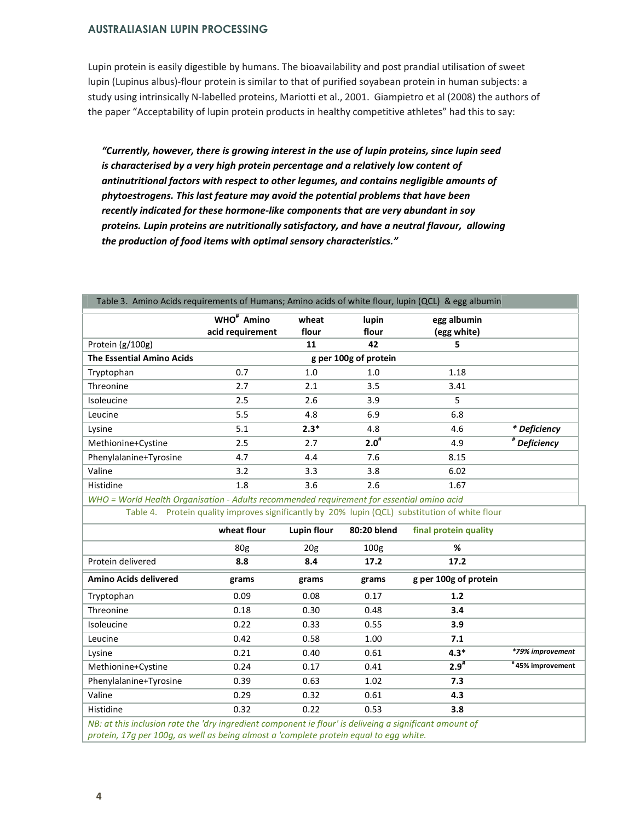Lupin protein is easily digestible by humans. The bioavailability and post prandial utilisation of sweet lupin (Lupinus albus)-flour protein is similar to that of purified soyabean protein in human subjects: a study using intrinsically N-labelled proteins, Mariotti et al., 2001. Giampietro et al (2008) the authors of the paper "Acceptability of lupin protein products in healthy competitive athletes" had this to say:

"Currently, however, there is growing interest in the use of lupin proteins, since lupin seed is characterised by a very high protein percentage and a relatively low content of antinutritional factors with respect to other legumes, and contains negligible amounts of phytoestrogens. This last feature may avoid the potential problems that have been recently indicated for these hormone-like components that are very abundant in soy proteins. Lupin proteins are nutritionally satisfactory, and have a neutral flavour, allowing the production of food items with optimal sensory characteristics."

| Table 3.Amino Acids requirements of Humans; Amino acids of white flour, lupin (QCL) &egg albumin |                                            |                |                |                            |                           |  |
|--------------------------------------------------------------------------------------------------|--------------------------------------------|----------------|----------------|----------------------------|---------------------------|--|
|                                                                                                  | WHO <sup>#</sup> Amino<br>acid requirement | wheat<br>flour | lupin<br>flour | egg albumin<br>(egg white) |                           |  |
| Protein (g/100g)                                                                                 |                                            | 11             | 42             | 5                          |                           |  |
| <b>The Essential Amino Acids</b>                                                                 | g per 100g of protein                      |                |                |                            |                           |  |
| Tryptophan                                                                                       | 0.7                                        | 1.0            | 1.0            | 1.18                       |                           |  |
| Threonine                                                                                        | 2.7                                        | 2.1            | 3.5            | 3.41                       |                           |  |
| Isoleucine                                                                                       | 2.5                                        | 2.6            | 3.9            | 5                          |                           |  |
| Leucine                                                                                          | 5.5                                        | 4.8            | 6.9            | 6.8                        |                           |  |
| Lysine                                                                                           | 5.1                                        | $2.3*$         | 4.8            | 4.6                        | * Deficiency              |  |
| Methionine+Cystine                                                                               | 2.5                                        | 2.7            | $2.0^{#}$      | 4.9                        | $\overline{p}$ Deficiency |  |
| Phenylalanine+Tyrosine                                                                           | 4.7                                        | 4.4            | 7.6            | 8.15                       |                           |  |
| Valine                                                                                           | 3.2                                        | 3.3            | 3.8            | 6.02                       |                           |  |
| Histidine                                                                                        | 1.8                                        | 3.6            | 2.6            | 1.67                       |                           |  |

Table 3. Amino Acids requirements of Humans; Amino acids of white flour, lupin (QCL) & egg albumin

WHO = World Health Organisation - Adults recommended requirement for essential amino acid Table 4. Protein quality improves significantly by 20% lupin (QCL) substitution of white flour

|                                                                                                                     | wheat flour     | Lupin flour     | 80:20 blend      | final protein quality |                  |
|---------------------------------------------------------------------------------------------------------------------|-----------------|-----------------|------------------|-----------------------|------------------|
|                                                                                                                     | 80 <sub>g</sub> | 20 <sub>g</sub> | 100 <sub>g</sub> | %                     |                  |
| Protein delivered                                                                                                   | 8.8             | 8.4             | 17.2             | 17.2                  |                  |
| Amino Acids delivered                                                                                               | grams           | grams           | grams            | g per 100g of protein |                  |
| Tryptophan                                                                                                          | 0.09            | 0.08            | 0.17             | 1.2                   |                  |
| Threonine                                                                                                           | 0.18            | 0.30            | 0.48             | 3.4                   |                  |
| Isoleucine                                                                                                          | 0.22            | 0.33            | 0.55             | 3.9                   |                  |
| Leucine                                                                                                             | 0.42            | 0.58            | 1.00             | 7.1                   |                  |
| Lysine                                                                                                              | 0.21            | 0.40            | 0.61             | $4.3*$                | *79% improvement |
| Methionine+Cystine                                                                                                  | 0.24            | 0.17            | 0.41             | $2.9^{*}$             | #45% improvement |
| Phenylalanine+Tyrosine                                                                                              | 0.39            | 0.63            | 1.02             | 7.3                   |                  |
| Valine                                                                                                              | 0.29            | 0.32            | 0.61             | 4.3                   |                  |
| Histidine                                                                                                           | 0.32            | 0.22            | 0.53             | 3.8                   |                  |
| AID: annibis in checia a ann nha Tolae is an obiann consecuent ann in Aleen is obolis ann ainm i fines na ceann a f |                 |                 |                  |                       |                  |

NB: at this inclusion rate the 'dry ingredient component ie flour' is deliveing a significant amount of protein, 17g per 100g, as well as being almost a 'complete protein equal to egg white.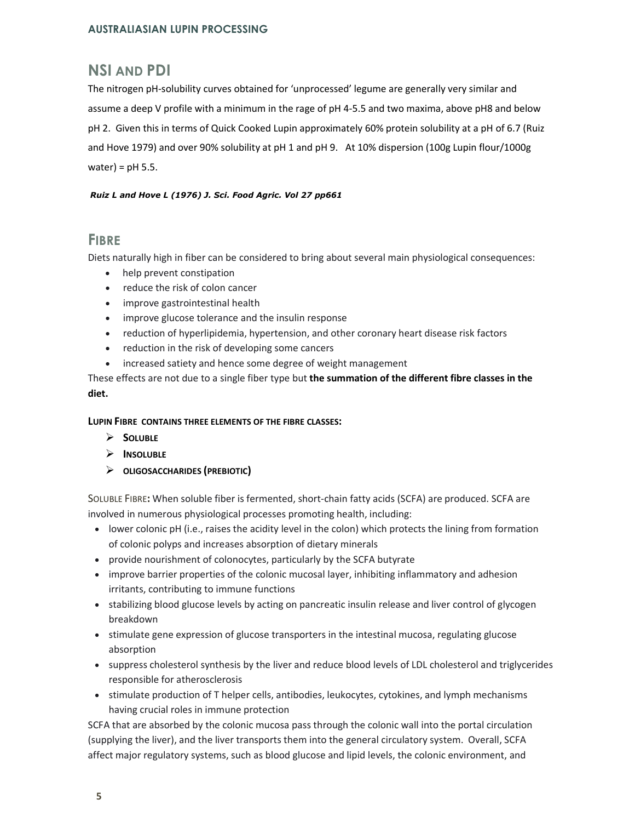## NSI AND PDI

The nitrogen pH-solubility curves obtained for 'unprocessed' legume are generally very similar and assume a deep V profile with a minimum in the rage of pH 4-5.5 and two maxima, above pH8 and below pH 2. Given this in terms of Quick Cooked Lupin approximately 60% protein solubility at a pH of 6.7 (Ruiz and Hove 1979) and over 90% solubility at pH 1 and pH 9. At 10% dispersion (100g Lupin flour/1000g water) =  $pH$  5.5.

#### Ruiz L and Hove L (1976) J. Sci. Food Agric. Vol 27 pp661

### **FIBRE**

Diets naturally high in fiber can be considered to bring about several main physiological consequences:

- help prevent constipation
- reduce the risk of colon cancer
- improve gastrointestinal health
- improve glucose tolerance and the insulin response
- reduction of hyperlipidemia, hypertension, and other coronary heart disease risk factors
- reduction in the risk of developing some cancers
- increased satiety and hence some degree of weight management

These effects are not due to a single fiber type but the summation of the different fibre classes in the diet.

#### LUPIN FIBRE CONTAINS THREE ELEMENTS OF THE FIBRE CLASSES:

- $\triangleright$  SOLUBLE
- $\triangleright$  Insoluble
- OLIGOSACCHARIDES (PREBIOTIC)

SOLUBLE FIBRE: When soluble fiber is fermented, short-chain fatty acids (SCFA) are produced. SCFA are involved in numerous physiological processes promoting health, including:

- lower colonic pH (i.e., raises the acidity level in the colon) which protects the lining from formation of colonic polyps and increases absorption of dietary minerals
- provide nourishment of colonocytes, particularly by the SCFA butyrate
- improve barrier properties of the colonic mucosal layer, inhibiting inflammatory and adhesion irritants, contributing to immune functions
- stabilizing blood glucose levels by acting on pancreatic insulin release and liver control of glycogen breakdown
- stimulate gene expression of glucose transporters in the intestinal mucosa, regulating glucose absorption
- suppress cholesterol synthesis by the liver and reduce blood levels of LDL cholesterol and triglycerides responsible for atherosclerosis
- stimulate production of T helper cells, antibodies, leukocytes, cytokines, and lymph mechanisms having crucial roles in immune protection

SCFA that are absorbed by the colonic mucosa pass through the colonic wall into the portal circulation (supplying the liver), and the liver transports them into the general circulatory system. Overall, SCFA affect major regulatory systems, such as blood glucose and lipid levels, the colonic environment, and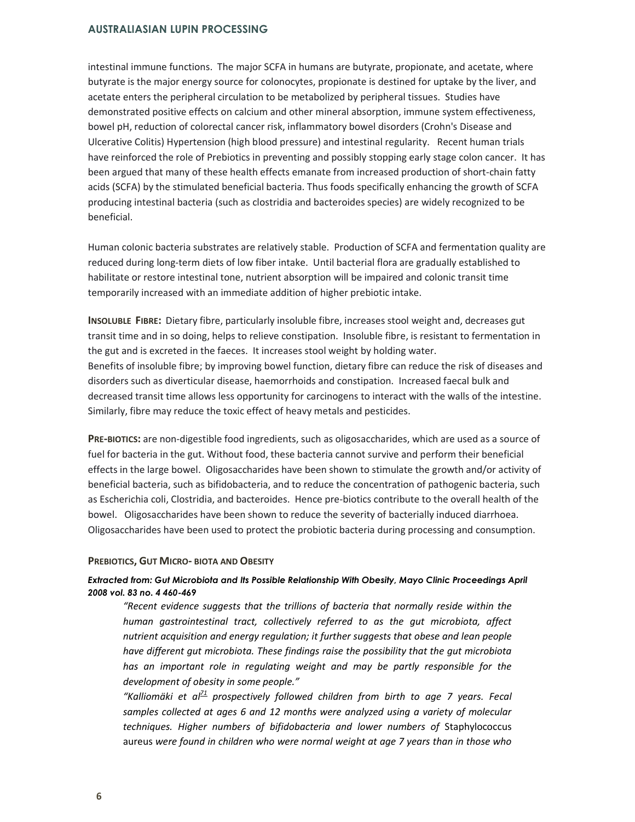intestinal immune functions. The major SCFA in humans are butyrate, propionate, and acetate, where butyrate is the major energy source for colonocytes, propionate is destined for uptake by the liver, and acetate enters the peripheral circulation to be metabolized by peripheral tissues. Studies have demonstrated positive effects on calcium and other mineral absorption, immune system effectiveness, bowel pH, reduction of colorectal cancer risk, inflammatory bowel disorders (Crohn's Disease and Ulcerative Colitis) Hypertension (high blood pressure) and intestinal regularity. Recent human trials have reinforced the role of Prebiotics in preventing and possibly stopping early stage colon cancer. It has been argued that many of these health effects emanate from increased production of short-chain fatty acids (SCFA) by the stimulated beneficial bacteria. Thus foods specifically enhancing the growth of SCFA producing intestinal bacteria (such as clostridia and bacteroides species) are widely recognized to be beneficial.

Human colonic bacteria substrates are relatively stable. Production of SCFA and fermentation quality are reduced during long-term diets of low fiber intake. Until bacterial flora are gradually established to habilitate or restore intestinal tone, nutrient absorption will be impaired and colonic transit time temporarily increased with an immediate addition of higher prebiotic intake.

INSOLUBLE FIBRE: Dietary fibre, particularly insoluble fibre, increases stool weight and, decreases gut transit time and in so doing, helps to relieve constipation. Insoluble fibre, is resistant to fermentation in the gut and is excreted in the faeces. It increases stool weight by holding water. Benefits of insoluble fibre; by improving bowel function, dietary fibre can reduce the risk of diseases and disorders such as diverticular disease, haemorrhoids and constipation. Increased faecal bulk and decreased transit time allows less opportunity for carcinogens to interact with the walls of the intestine. Similarly, fibre may reduce the toxic effect of heavy metals and pesticides.

PRE-BIOTICS: are non-digestible food ingredients, such as oligosaccharides, which are used as a source of fuel for bacteria in the gut. Without food, these bacteria cannot survive and perform their beneficial effects in the large bowel. Oligosaccharides have been shown to stimulate the growth and/or activity of beneficial bacteria, such as bifidobacteria, and to reduce the concentration of pathogenic bacteria, such as Escherichia coli, Clostridia, and bacteroides. Hence pre-biotics contribute to the overall health of the bowel. Oligosaccharides have been shown to reduce the severity of bacterially induced diarrhoea. Oligosaccharides have been used to protect the probiotic bacteria during processing and consumption.

#### PREBIOTICS, GUT MICRO- BIOTA AND OBESITY

#### Extracted from: Gut Microbiota and Its Possible Relationship With Obesity, Mayo Clinic Proceedings April 2008 vol. 83 no. 4 460-469

"Recent evidence suggests that the trillions of bacteria that normally reside within the human gastrointestinal tract, collectively referred to as the gut microbiota, affect nutrient acquisition and energy regulation; it further suggests that obese and lean people have different gut microbiota. These findings raise the possibility that the gut microbiota has an important role in regulating weight and may be partly responsible for the development of obesity in some people."

"Kalliomäki et a $l^2$  prospectively followed children from birth to age 7 years. Fecal samples collected at ages 6 and 12 months were analyzed using a variety of molecular techniques. Higher numbers of bifidobacteria and lower numbers of Staphylococcus aureus were found in children who were normal weight at age 7 years than in those who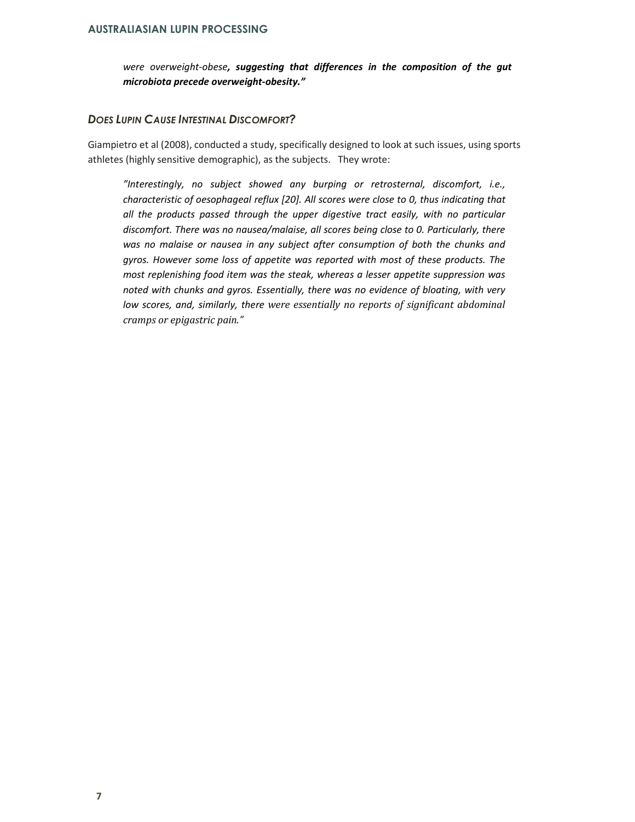were overweight-obese, suggesting that differences in the composition of the gut microbiota precede overweight-obesity."

#### DOES LUPIN CAUSE INTESTINAL DISCOMFORT?

Giampietro et al (2008), conducted a study, specifically designed to look at such issues, using sports athletes (highly sensitive demographic), as the subjects. They wrote:

"Interestingly, no subject showed any burping or retrosternal, discomfort, i.e., characteristic of oesophageal reflux [20]. All scores were close to 0, thus indicating that all the products passed through the upper digestive tract easily, with no particular discomfort. There was no nausea/malaise, all scores being close to 0. Particularly, there was no malaise or nausea in any subject after consumption of both the chunks and gyros. However some loss of appetite was reported with most of these products. The most replenishing food item was the steak, whereas a lesser appetite suppression was noted with chunks and gyros. Essentially, there was no evidence of bloating, with very low scores, and, similarly, there were essentially no reports of significant abdominal cramps or epigastric pain."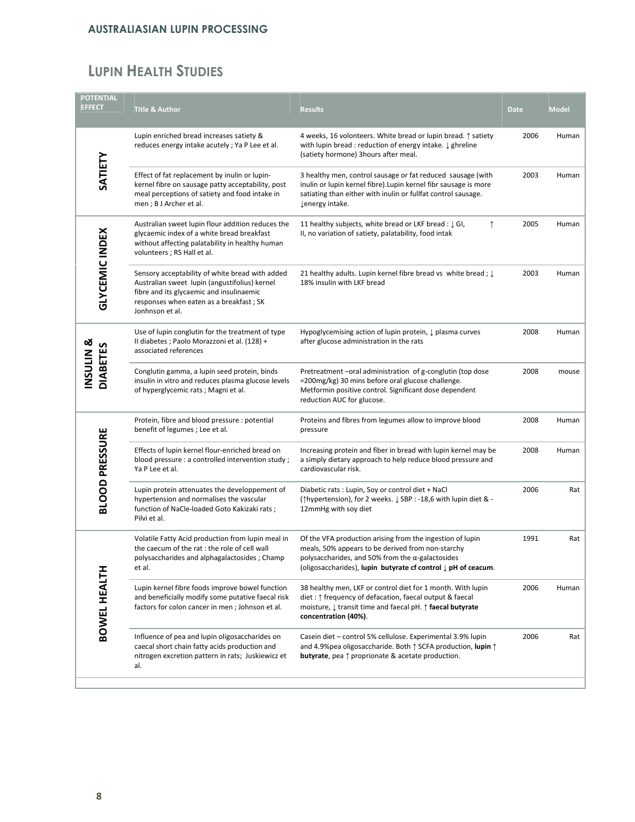## LUPIN HEALTH STUDIES

| <b>POTENTIAL</b><br><b>EFFECT</b> | <b>Title &amp; Author</b>                                                                                                                                                                                  | <b>Results</b>                                                                                                                                                                                                                                         | Date | <b>Model</b> |
|-----------------------------------|------------------------------------------------------------------------------------------------------------------------------------------------------------------------------------------------------------|--------------------------------------------------------------------------------------------------------------------------------------------------------------------------------------------------------------------------------------------------------|------|--------------|
|                                   | Lupin enriched bread increases satiety &<br>reduces energy intake acutely; Ya P Lee et al.                                                                                                                 | 4 weeks, 16 volonteers. White bread or lupin bread. $\uparrow$ satiety<br>with lupin bread: reduction of energy intake. $\downarrow$ ghreline<br>(satiety hormone) 3hours after meal.                                                                  | 2006 | Human        |
| SATIETY                           | Effect of fat replacement by inulin or lupin-<br>kernel fibre on sausage patty acceptability, post<br>meal perceptions of satiety and food intake in<br>men ; B J Archer et al.                            | 3 healthy men, control sausage or fat reduced sausage (with<br>inulin or lupin kernel fibre). Lupin kernel fibr sausage is more<br>satiating than either with inulin or fullfat control sausage.<br>↓energy intake.                                    | 2003 | Human        |
|                                   | Australian sweet lupin flour addition reduces the<br>glycaemic index of a white bread breakfast<br>without affecting palatability in healthy human<br>volunteers ; RS Hall et al.                          | 11 healthy subjects, white bread or LKF bread : $\downarrow$ GI,<br>↑<br>II, no variation of satiety, palatability, food intak                                                                                                                         | 2005 | Human        |
| <b>GLYCEMIC INDEX</b>             | Sensory acceptability of white bread with added<br>Australian sweet lupin (angustifolius) kernel<br>fibre and its glycaemic and insulinaemic<br>responses when eaten as a breakfast; SK<br>Jonhnson et al. | 21 healthy adults. Lupin kernel fibre bread vs white bread ; $\downarrow$<br>18% insulin with LKF bread                                                                                                                                                | 2003 | Human        |
|                                   | Use of lupin conglutin for the treatment of type<br>Il diabetes ; Paolo Morazzoni et al. (128) +<br>associated references                                                                                  | Hypoglycemising action of lupin protein, ↓ plasma curves<br>after glucose administration in the rats                                                                                                                                                   | 2008 | Human        |
| INSULIN &<br><b>DIABETES</b>      | Conglutin gamma, a lupin seed protein, binds<br>insulin in vitro and reduces plasma glucose levels<br>of hyperglycemic rats; Magni et al.                                                                  | Pretreatment-oral administration of g-conglutin (top dose<br>=200mg/kg) 30 mins before oral glucose challenge.<br>Metformin positive control. Significant dose dependent<br>reduction AUC for glucose.                                                 | 2008 | mouse        |
|                                   | Protein, fibre and blood pressure : potential<br>benefit of legumes; Lee et al.                                                                                                                            | Proteins and fibres from legumes allow to improve blood<br>pressure                                                                                                                                                                                    | 2008 | Human        |
| <b>BLOOD PRESSURE</b>             | Effects of lupin kernel flour-enriched bread on<br>blood pressure : a controlled intervention study;<br>Ya P Lee et al.                                                                                    | Increasing protein and fiber in bread with lupin kernel may be<br>a simply dietary approach to help reduce blood pressure and<br>cardiovascular risk.                                                                                                  | 2008 | Human        |
|                                   | Lupin protein attenuates the developpement of<br>hypertension and normalises the vascular<br>function of NaCle-loaded Goto Kakizaki rats;<br>Pilvi et al.                                                  | Diabetic rats : Lupin, Soy or control diet + NaCl<br>(↑hypertension), for 2 weeks. ↓ SBP : -18,6 with lupin diet & -<br>12mmHg with soy diet                                                                                                           | 2006 | Rat          |
|                                   | Volatile Fatty Acid production from lupin meal in<br>the caecum of the rat : the role of cell wall<br>polysaccharides and alphagalactosides; Champ<br>et al.                                               | Of the VFA production arising from the ingestion of lupin<br>meals, 50% appears to be derived from non-starchy<br>polysaccharides, and 50% from the $\alpha$ -galactosides<br>(oligosaccharides), lupin butyrate cf control $\downarrow$ pH of ceacum. | 1991 | Rat          |
| BOWEL HEALTH                      | Lupin kernel fibre foods improve bowel function<br>and beneficially modify some putative faecal risk<br>factors for colon cancer in men; Johnson et al.                                                    | 38 healthy men, LKF or control diet for 1 month. With lupin<br>diet : ↑ frequency of defacation, faecal output & faecal<br>moisture, ↓ transit time and faecal pH. ↑ faecal butyrate<br>concentration (40%).                                           | 2006 | Human        |
|                                   | Influence of pea and lupin oligosaccharides on<br>caecal short chain fatty acids production and<br>nitrogen excretion pattern in rats; Juskiewicz et<br>al.                                                | Casein diet - control 5% cellulose. Experimental 3.9% lupin<br>and 4.9% pea oligosaccharide. Both $\uparrow$ SCFA production, lupin $\uparrow$<br><b>butyrate</b> , pea $\uparrow$ proprionate & acetate production.                                   | 2006 | Rat          |
|                                   |                                                                                                                                                                                                            |                                                                                                                                                                                                                                                        |      |              |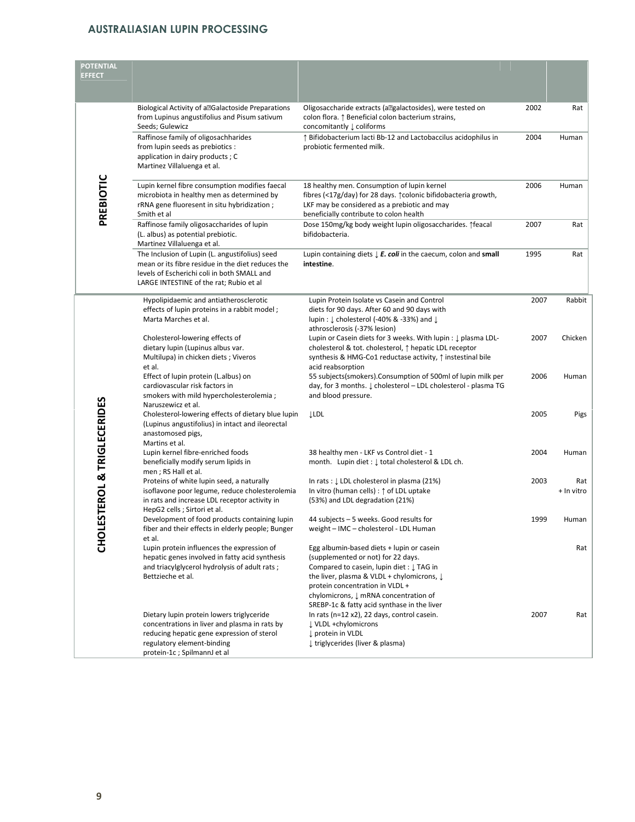| <b>POTENTIAL</b><br><b>EFFECT</b>      |                                                                                                                                                                                                       |                                                                                                                                                                                                                                                                  |      |                   |
|----------------------------------------|-------------------------------------------------------------------------------------------------------------------------------------------------------------------------------------------------------|------------------------------------------------------------------------------------------------------------------------------------------------------------------------------------------------------------------------------------------------------------------|------|-------------------|
|                                        | Biological Activity of all Galactoside Preparations<br>from Lupinus angustifolius and Pisum sativum<br>Seeds; Gulewicz                                                                                | Oligosaccharide extracts (a?alactosides), were tested on<br>colon flora. $\uparrow$ Beneficial colon bacterium strains,<br>concomitantly ↓ coliforms                                                                                                             | 2002 | Rat               |
|                                        | Raffinose family of oligosachharides<br>from lupin seeds as prebiotics :<br>application in dairy products; C<br>Martinez Villaluenga et al.                                                           | ↑ Bifidobacterium lacti Bb-12 and Lactobaccilus acidophilus in<br>probiotic fermented milk.                                                                                                                                                                      | 2004 | Human             |
| PREBIOTIC                              | Lupin kernel fibre consumption modifies faecal<br>microbiota in healthy men as determined by<br>rRNA gene fluoresent in situ hybridization;<br>Smith et al                                            | 18 healthy men. Consumption of lupin kernel<br>fibres (<17g/day) for 28 days. 1 colonic bifidobacteria growth,<br>LKF may be considered as a prebiotic and may<br>beneficially contribute to colon health                                                        | 2006 | Human             |
|                                        | Raffinose family oligosaccharides of lupin<br>(L. albus) as potential prebiotic.<br>Martinez Villaluenga et al.                                                                                       | Dose 150mg/kg body weight lupin oligosaccharides. 1feacal<br>bifidobacteria.                                                                                                                                                                                     | 2007 | Rat               |
|                                        | The Inclusion of Lupin (L. angustifolius) seed<br>mean or its fibre residue in the diet reduces the<br>levels of Escherichi coli in both SMALL and<br>LARGE INTESTINE of the rat; Rubio et al         | Lupin containing diets $\downarrow$ E. coli in the caecum, colon and small<br>intestine.                                                                                                                                                                         | 1995 | Rat               |
|                                        | Hypolipidaemic and antiatherosclerotic<br>effects of lupin proteins in a rabbit model;<br>Marta Marches et al.                                                                                        | Lupin Protein Isolate vs Casein and Control<br>diets for 90 days. After 60 and 90 days with<br>lupin: $\downarrow$ cholesterol (-40% & -33%) and $\downarrow$<br>athrosclerosis (-37% lesion)                                                                    | 2007 | Rabbit            |
|                                        | Cholesterol-lowering effects of<br>dietary lupin (Lupinus albus var.<br>Multilupa) in chicken diets; Viveros<br>et al.                                                                                | Lupin or Casein diets for 3 weeks. With lupin : ↓ plasma LDL-<br>cholesterol & tot. cholesterol, ↑ hepatic LDL receptor<br>synthesis & HMG-Co1 reductase activity, ↑ instestinal bile<br>acid reabsorption                                                       | 2007 | Chicken           |
|                                        | Effect of lupin protein (L.albus) on<br>cardiovascular risk factors in<br>smokers with mild hypercholesterolemia;<br>Naruszewicz et al.                                                               | 55 subjects(smokers). Consumption of 500ml of lupin milk per<br>day, for 3 months. ↓ cholesterol - LDL cholesterol - plasma TG<br>and blood pressure.                                                                                                            | 2006 | Human             |
|                                        | Cholesterol-lowering effects of dietary blue lupin<br>(Lupinus angustifolius) in intact and ileorectal<br>anastomosed pigs,                                                                           | <b>LLDL</b>                                                                                                                                                                                                                                                      | 2005 | Pigs              |
|                                        | Martins et al.<br>Lupin kernel fibre-enriched foods<br>beneficially modify serum lipids in<br>men; RS Hall et al.                                                                                     | 38 healthy men - LKF vs Control diet - 1<br>month. Lupin diet : $\downarrow$ total cholesterol & LDL ch.                                                                                                                                                         | 2004 | Human             |
| STEROL & TRIGLECERIDES<br><b>UNOHO</b> | Proteins of white lupin seed, a naturally<br>isoflavone poor legume, reduce cholesterolemia<br>in rats and increase LDL receptor activity in<br>HepG2 cells ; Sirtori et al.                          | In rats : ↓ LDL cholesterol in plasma (21%)<br>In vitro (human cells) : $\uparrow$ of LDL uptake<br>(53%) and LDL degradation (21%)                                                                                                                              | 2003 | Rat<br>+ In vitro |
|                                        | Development of food products containing lupin<br>fiber and their effects in elderly people; Bunger<br>et al.                                                                                          | 44 subjects – 5 weeks. Good results for<br>weight - IMC - cholesterol - LDL Human                                                                                                                                                                                | 1999 | Human             |
|                                        | Lupin protein influences the expression of<br>hepatic genes involved in fatty acid synthesis<br>and triacylglycerol hydrolysis of adult rats;<br>Bettzieche et al.                                    | Egg albumin-based diets + lupin or casein<br>(supplemented or not) for 22 days.<br>Compared to casein, lupin diet: J TAG in<br>the liver, plasma & VLDL + chylomicrons, $\downarrow$<br>protein concentration in VLDL +<br>chylomicrons, ↓ mRNA concentration of |      | Rat               |
|                                        | Dietary lupin protein lowers triglyceride<br>concentrations in liver and plasma in rats by<br>reducing hepatic gene expression of sterol<br>regulatory element-binding<br>protein-1c; SpilmannJ et al | SREBP-1c & fatty acid synthase in the liver<br>In rats (n=12 x2), 22 days, control casein.<br>↓ VLDL +chylomicrons<br>↓ protein in VLDL<br>↓ triglycerides (liver & plasma)                                                                                      | 2007 | Rat               |
|                                        |                                                                                                                                                                                                       |                                                                                                                                                                                                                                                                  |      |                   |
| 9                                      |                                                                                                                                                                                                       |                                                                                                                                                                                                                                                                  |      |                   |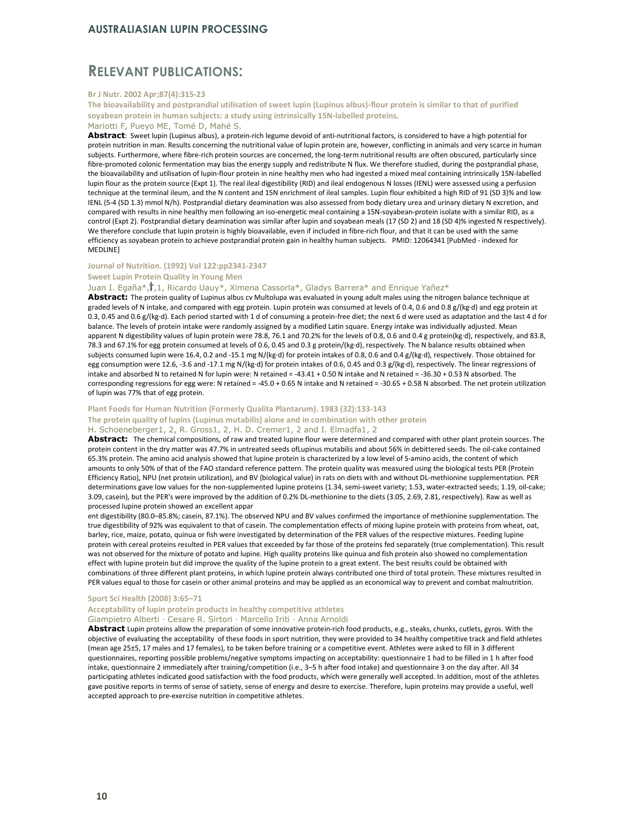#### RELEVANT PUBLICATIONS:

#### Br J Nutr. 2002 Apr;87(4):315-23

The bioavailability and postprandial utilisation of sweet lupin (Lupinus albus)-flour protein is similar to that of purified soyabean protein in human subjects: a study using intrinsically 15N-labelled proteins.

#### Mariotti F, Pueyo ME, Tomé D, Mahé S.

Abstract: Sweet lupin (Lupinus albus), a protein-rich legume devoid of anti-nutritional factors, is considered to have a high potential for protein nutrition in man. Results concerning the nutritional value of lupin protein are, however, conflicting in animals and very scarce in human subjects. Furthermore, where fibre-rich protein sources are concerned, the long-term nutritional results are often obscured, particularly since fibre-promoted colonic fermentation may bias the energy supply and redistribute N flux. We therefore studied, during the postprandial phase, the bioavailability and utilisation of lupin-flour protein in nine healthy men who had ingested a mixed meal containing intrinsically 15N-labelled lupin flour as the protein source (Expt 1). The real ileal digestibility (RID) and ileal endogenous N losses (IENL) were assessed using a perfusion technique at the terminal ileum, and the N content and 15N enrichment of ileal samples. Lupin flour exhibited a high RID of 91 (SD 3)% and low IENL (5-4 (SD 1.3) mmol N/h). Postprandial dietary deamination was also assessed from body dietary urea and urinary dietary N excretion, and compared with results in nine healthy men following an iso-energetic meal containing a 15N-soyabean-protein isolate with a similar RID, as a control (Expt 2). Postprandial dietary deamination was similar after lupin and soyabean meals (17 (SD 2) and 18 (SD 4)% ingested N respectively). We therefore conclude that lupin protein is highly bioavailable, even if included in fibre-rich flour, and that it can be used with the same efficiency as soyabean protein to achieve postprandial protein gain in healthy human subjects. PMID: 12064341 [PubMed - indexed for MEDLINE]

#### Journal of Nutrition. (1992) Vol 122:pp2341-2347

#### Sweet Lupin Protein Quality in Young Men

#### Juan I. Egaña\*, , 1, Ricardo Uauy\*, Ximena Cassorla\*, Gladys Barrera\* and Enrique Yañez\*

Abstract: The protein quality of Lupinus albus cv Multolupa was evaluated in young adult males using the nitrogen balance technique at graded levels of N intake, and compared with egg protein. Lupin protein was consumed at levels of 0.4, 0.6 and 0.8 g/(kg·d) and egg protein at 0.3, 0.45 and 0.6 g/(kg·d). Each period started with 1 d of consuming a protein-free diet; the next 6 d were used as adaptation and the last 4 d for balance. The levels of protein intake were randomly assigned by a modified Latin square. Energy intake was individually adjusted. Mean apparent N digestibility values of lupin protein were 78.8, 76.1 and 70.2% for the levels of 0.8, 0.6 and 0.4 g protein(kg·d), respectively, and 83.8, 78.3 and 67.1% for egg protein consumed at levels of 0.6, 0.45 and 0.3 g protein/(kg·d), respectively. The N balance results obtained when subjects consumed lupin were 16.4, 0.2 and -15.1 mg N/(kg·d) for protein intakes of 0.8, 0.6 and 0.4 g/(kg·d), respectively. Those obtained for egg consumption were 12.6, -3.6 and -17.1 mg N/(kg·d) for protein intakes of 0.6, 0.45 and 0.3 g/(kg·d), respectively. The linear regressions of intake and absorbed N to retained N for lupin were: N retained = -43.41 + 0.50 N intake and N retained = -36.30 + 0.53 N absorbed. The corresponding regressions for egg were: N retained = -45.0 + 0.65 N intake and N retained = -30.65 + 0.58 N absorbed. The net protein utilization of lupin was 77% that of egg protein.

#### Plant Foods for Human Nutrition (Formerly Qualita Plantarum). 1983 (32):133-143

The protein quality of lupins (Lupinus mutabilis) alone and in combination with other protein

#### H. Schoeneberger1, 2, R. Gross1, 2, H. D. Cremer1, 2 and I. Elmadfa1, 2

Abstract: The chemical compositions, of raw and treated lupine flour were determined and compared with other plant protein sources. The protein content in the dry matter was 47.7% in untreated seeds ofLupinus mutabilis and about 56% in debittered seeds. The oil-cake contained 65.3% protein. The amino acid analysis showed that lupine protein is characterized by a low level of S-amino acids, the content of which amounts to only 50% of that of the FAO standard reference pattern. The protein quality was measured using the biological tests PER (Protein Efficiency Ratio), NPU (net protein utilization), and BV (biological value) in rats on diets with and without DL-methionine supplementation. PER determinations gave low values for the non-supplemented lupine proteins (1.34, semi-sweet variety; 1.53, water-extracted seeds; 1.19, oil-cake; 3.09, casein), but the PER's were improved by the addition of 0.2% DL-methionine to the diets (3.05, 2.69, 2.81, respectively). Raw as well as processed lupine protein showed an excellent appar

ent digestibility (80.0–85.8%; casein, 87.1%). The observed NPU and BV values confirmed the importance of methionine supplementation. The true digestibility of 92% was equivalent to that of casein. The complementation effects of mixing lupine protein with proteins from wheat, oat, barley, rice, maize, potato, quinua or fish were investigated by determination of the PER values of the respective mixtures. Feeding lupine protein with cereal proteins resulted in PER values that exceeded by far those of the proteins fed separately (true complementation). This result was not observed for the mixture of potato and lupine. High quality proteins like quinua and fish protein also showed no complementation effect with lupine protein but did improve the quality of the lupine protein to a great extent. The best results could be obtained with combinations of three different plant proteins, in which lupine protein always contributed one third of total protein. These mixtures resulted in PER values equal to those for casein or other animal proteins and may be applied as an economical way to prevent and combat malnutrition.

#### Sport Sci Health (2008) 3:65–71 Acceptability of lupin protein products in healthy competitive athletes

#### Giampietro Alberti · Cesare R. Sirtori · Marcello Iriti · Anna Arnoldi

Abstract Lupin proteins allow the preparation of some innovative protein-rich food products, e.g., steaks, chunks, cutlets, gyros. With the objective of evaluating the acceptability of these foods in sport nutrition, they were provided to 34 healthy competitive track and field athletes (mean age 25±5, 17 males and 17 females), to be taken before training or a competitive event. Athletes were asked to fill in 3 different questionnaires, reporting possible problems/negative symptoms impacting on acceptability: questionnaire 1 had to be filled in 1 h after food intake, questionnaire 2 immediately after training/competition (i.e., 3–5 h after food intake) and questionnaire 3 on the day after. All 34 participating athletes indicated good satisfaction with the food products, which were generally well accepted. In addition, most of the athletes gave positive reports in terms of sense of satiety, sense of energy and desire to exercise. Therefore, lupin proteins may provide a useful, well accepted approach to pre-exercise nutrition in competitive athletes.